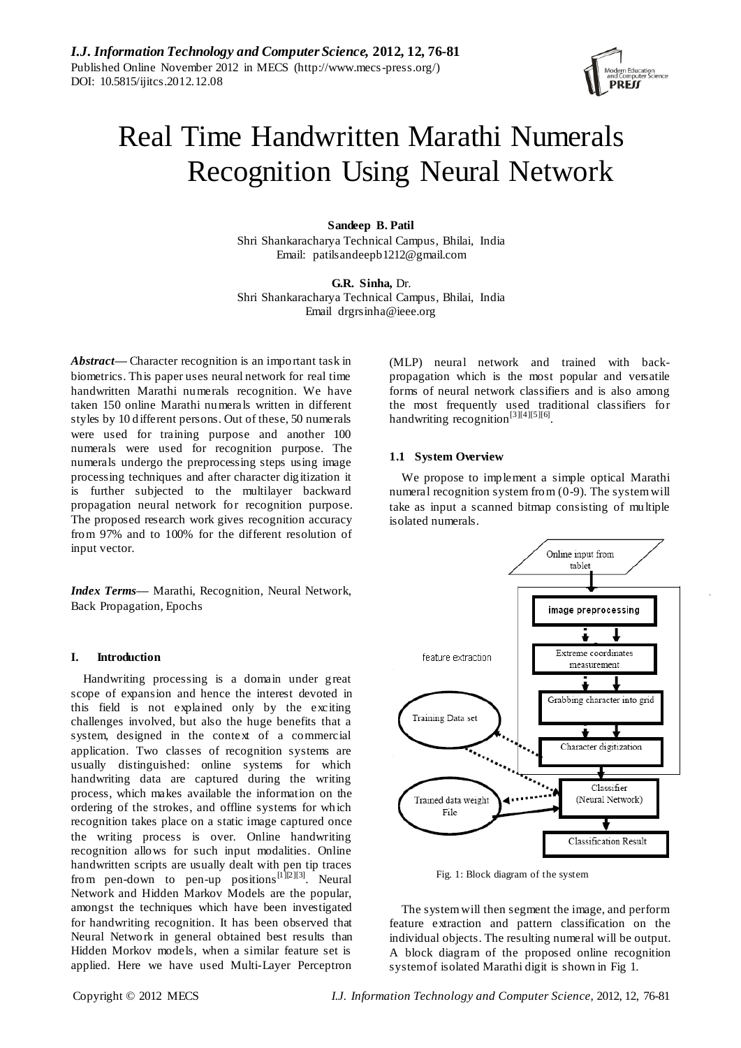

# Real Time Handwritten Marathi Numerals Recognition Using Neural Network

**Sandeep B. Patil** Shri Shankaracharya Technical Campus, Bhilai, India Email: patilsandeepb1212@gmail.com

**G.R. Sinha,** Dr. Shri Shankaracharya Technical Campus, Bhilai, India Email drgrsinha@ieee.org

*Abstract—* Character recognition is an important task in biometrics. This paper uses neural network for real time handwritten Marathi numerals recognition. We have taken 150 online Marathi numerals written in different styles by 10 different persons. Out of these, 50 numerals were used for training purpose and another 100 numerals were used for recognition purpose. The numerals undergo the preprocessing steps using image processing techniques and after character digitization it is further subjected to the multilayer backward propagation neural network for recognition purpose. The proposed research work gives recognition accuracy from 97% and to 100% for the different resolution of input vector.

*Index Terms***—** Marathi, Recognition, Neural Network, Back Propagation, Epochs

# **I. Introduction**

Handwriting processing is a domain under great scope of expansion and hence the interest devoted in this field is not explained only by the exciting challenges involved, but also the huge benefits that a system, designed in the context of a commercial application. Two classes of recognition systems are usually distinguished: online systems for which handwriting data are captured during the writing process, which makes available the information on the ordering of the strokes, and offline systems for which recognition takes place on a static image captured once the writing process is over. Online handwriting recognition allows for such input modalities. Online handwritten scripts are usually dealt with pen tip traces from pen-down to pen-up positions<sup>[1][2][3]</sup>. Neural Network and Hidden Markov Models are the popular, amongst the techniques which have been investigated for handwriting recognition. It has been observed that Neural Network in general obtained best results than Hidden Morkov models, when a similar feature set is applied. Here we have used Multi-Layer Perceptron

(MLP) neural network and trained with backpropagation which is the most popular and versatile forms of neural network classifiers and is also among the most frequently used traditional classifiers for handwriting recognition<sup>[3][4][5][6]</sup>.

# **1.1 System Overview**

We propose to implement a simple optical Marathi numeral recognition system from (0-9). The system will take as input a scanned bitmap consisting of multiple isolated numerals.



Fig. 1: Block diagram of the system

The system will then segment the image, and perform feature extraction and pattern classification on the individual objects. The resulting numeral will be output. A block diagram of the proposed online recognition system of isolated Marathi digit is shown in Fig 1.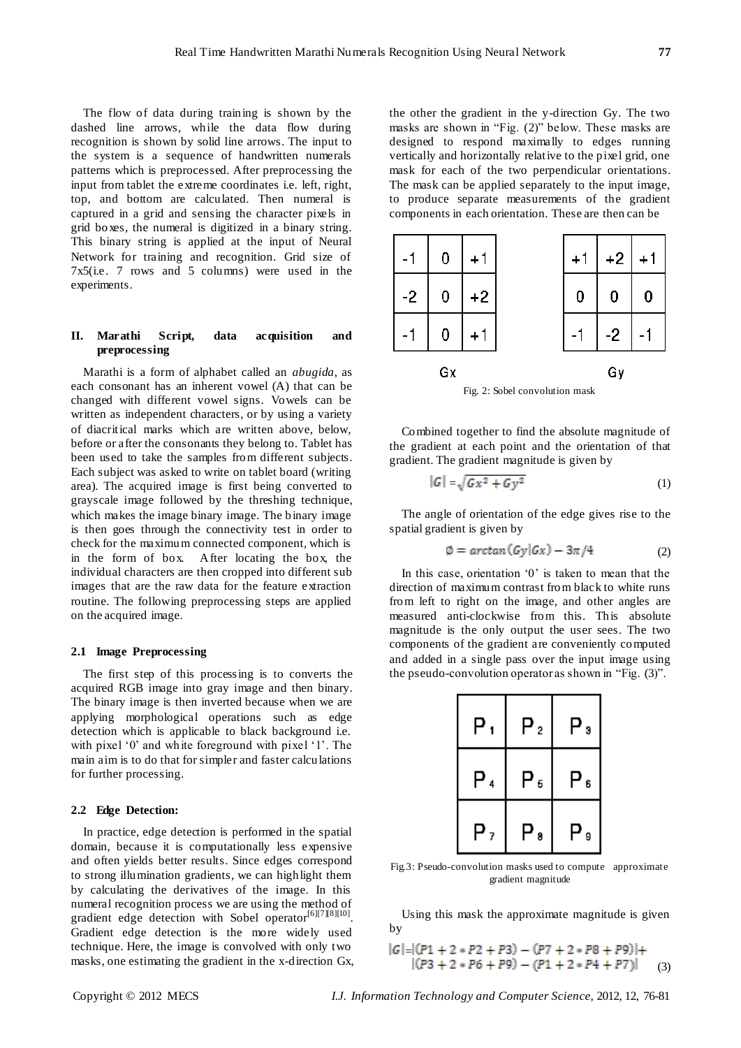The flow of data during training is shown by the dashed line arrows, while the data flow during recognition is shown by solid line arrows. The input to the system is a sequence of handwritten numerals patterns which is preprocessed. After preprocessing the input from tablet the extreme coordinates i.e. left, right, top, and bottom are calculated. Then numeral is captured in a grid and sensing the character pixels in grid boxes, the numeral is digitized in a binary string. This binary string is applied at the input of Neural Network for training and recognition. Grid size of 7x5(i.e. 7 rows and 5 columns) were used in the experiments.

# **II. Marathi Script, data acquisition and preprocessing**

Marathi is a form of alphabet called an *abugida*, as each consonant has an inherent vowel (A) that can be changed with different vowel signs. Vowels can be written as independent characters, or by using a variety of diacritical marks which are written above, below, before or after the consonants they belong to. Tablet has been used to take the samples from different subjects. Each subject was asked to write on tablet board (writing area). The acquired image is first being converted to grayscale image followed by the threshing technique, which makes the image binary image. The binary image is then goes through the connectivity test in order to check for the maximum connected component, which is in the form of box. After locating the box, the individual characters are then cropped into different sub images that are the raw data for the feature extraction routine. The following preprocessing steps are applied on the acquired image.

# **2.1 Image Preprocessing**

The first step of this processing is to converts the acquired RGB image into gray image and then binary. The binary image is then inverted because when we are applying morphological operations such as edge detection which is applicable to black background i.e. with pixel '0' and white foreground with pixel '1'. The main aim is to do that for simpler and faster calculations for further processing.

#### **2.2 Edge Detection:**

In practice, edge detection is performed in the spatial domain, because it is computationally less expensive and often yields better results. Since edges correspond to strong illumination gradients, we can highlight them by calculating the derivatives of the image. In this numeral recognition process we are using the method of gradient edge detection with Sobel operator<sup>[6][7][8][10]</sup>. Gradient edge detection is the more widely used technique. Here, the image is convolved with only two masks, one estimating the gradient in the x-direction Gx, the other the gradient in the y-direction Gy. The two masks are shown in "Fig. (2)" below. These masks are designed to respond maximally to edges running vertically and horizontally relative to the pixel grid, one mask for each of the two perpendicular orientations. The mask can be applied separately to the input image, to produce separate measurements of the gradient components in each orientation. These are then can be



Fig. 2: Sobel convolution mask

Combined together to find the absolute magnitude of the gradient at each point and the orientation of that gradient. The gradient magnitude is given by

$$
|G| = \sqrt{Gx^2 + Gy^2} \tag{1}
$$

The angle of orientation of the edge gives rise to the spatial gradient is given by

$$
\emptyset = \arctan(Gy|Gx) - 3\pi/4 \tag{2}
$$

In this case, orientation  $0'$  is taken to mean that the direction of maximum contrast from black to white runs from left to right on the image, and other angles are measured anti-clockwise from this. This absolute magnitude is the only output the user sees. The two components of the gradient are conveniently computed and added in a single pass over the input image using the pseudo-convolution operator as shown in "Fig. (3)".

| Ρ, | Ρ, | Ρ,  |
|----|----|-----|
| P, | Ρ, | P 6 |
| Ρ, | P. | P,  |

Fig.3: Pseudo-convolution masks used to compute approximate gradient magnitude

Using this mask the approximate magnitude is given by

$$
|G| = |(P1 + 2 \times P2 + P3) - (P7 + 2 \times P8 + P9)| +
$$
  
|(P3 + 2 \times P6 + P9) - (P1 + 2 \times P4 + P7)| (3)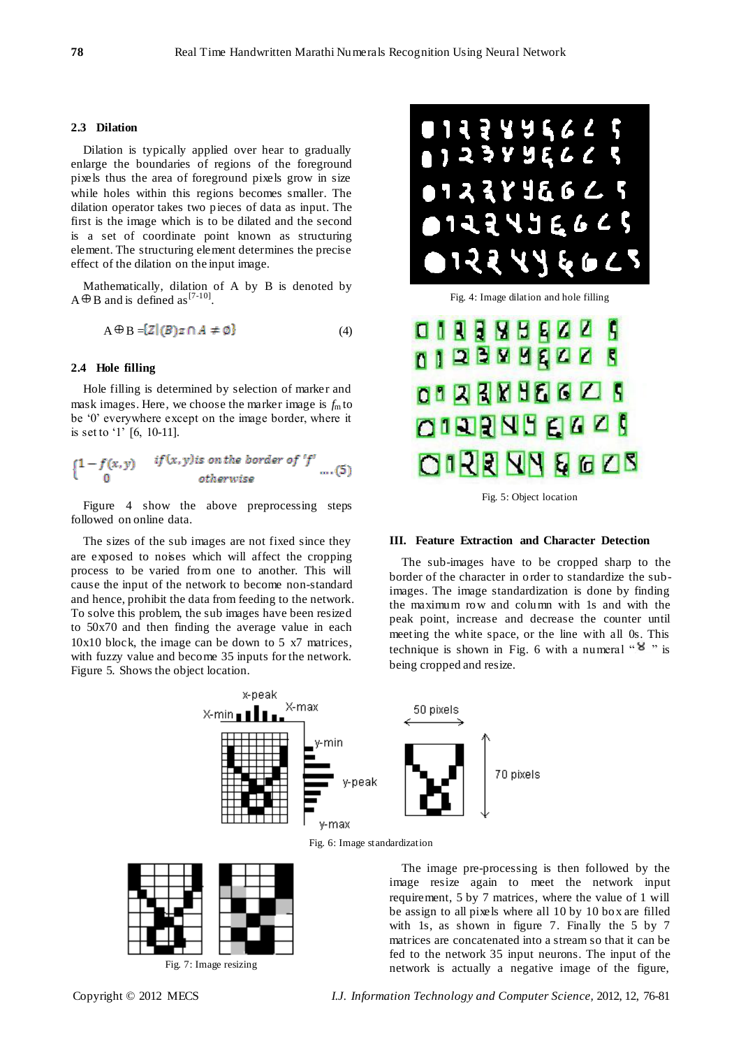#### **2.3 Dilation**

Dilation is typically applied over hear to gradually enlarge the boundaries of regions of the foreground pixels thus the area of foreground pixels grow in size while holes within this regions becomes smaller. The dilation operator takes two pieces of data as input. The first is the image which is to be dilated and the second is a set of coordinate point known as structuring element. The structuring element determines the precise effect of the dilation on the input image.

Mathematically, dilation of A by B is denoted by  $A \oplus B$  and is defined as [7-10].

$$
A \oplus B = \{Z \mid (B)z \cap A \neq \emptyset\} \tag{4}
$$

#### **2.4 Hole filling**

Hole filling is determined by selection of marker and mask images. Here, we choose the marker image is  $f<sub>m</sub>$  to be "0" everywhere except on the image border, where it is set to '1' [6, 10-11].

$$
\begin{cases}\n1 - f(x, y) & if (x, y) \text{ is on the border of } 'f' \\
0 & otherwise\n\end{cases} \dots (5)
$$

Figure 4 show the above preprocessing steps followed on online data.

The sizes of the sub images are not fixed since they are exposed to noises which will affect the cropping process to be varied from one to another. This will cause the input of the network to become non-standard and hence, prohibit the data from feeding to the network. To solve this problem, the sub images have been resized to 50x70 and then finding the average value in each 10x10 block, the image can be down to 5 x7 matrices, with fuzzy value and become 35 inputs for the network. Figure 5. Shows the object location.



Fig. 4: Image dilation and hole filling



Fig. 5: Object location

#### **III. Feature Extraction and Character Detection**

The sub-images have to be cropped sharp to the border of the character in order to standardize the subimages. The image standardization is done by finding the maximum row and column with 1s and with the peak point, increase and decrease the counter until meeting the white space, or the line with all 0s. This technique is shown in Fig. 6 with a numeral " $8$ " is being cropped and resize.



Fig. 6: Image standardization



The image pre-processing is then followed by the image resize again to meet the network input requirement, 5 by 7 matrices, where the value of 1 will be assign to all pixels where all 10 by 10 box are filled with 1s, as shown in figure 7. Finally the 5 by 7 matrices are concatenated into a stream so that it can be fed to the network 35 input neurons. The input of the network is actually a negative image of the figure,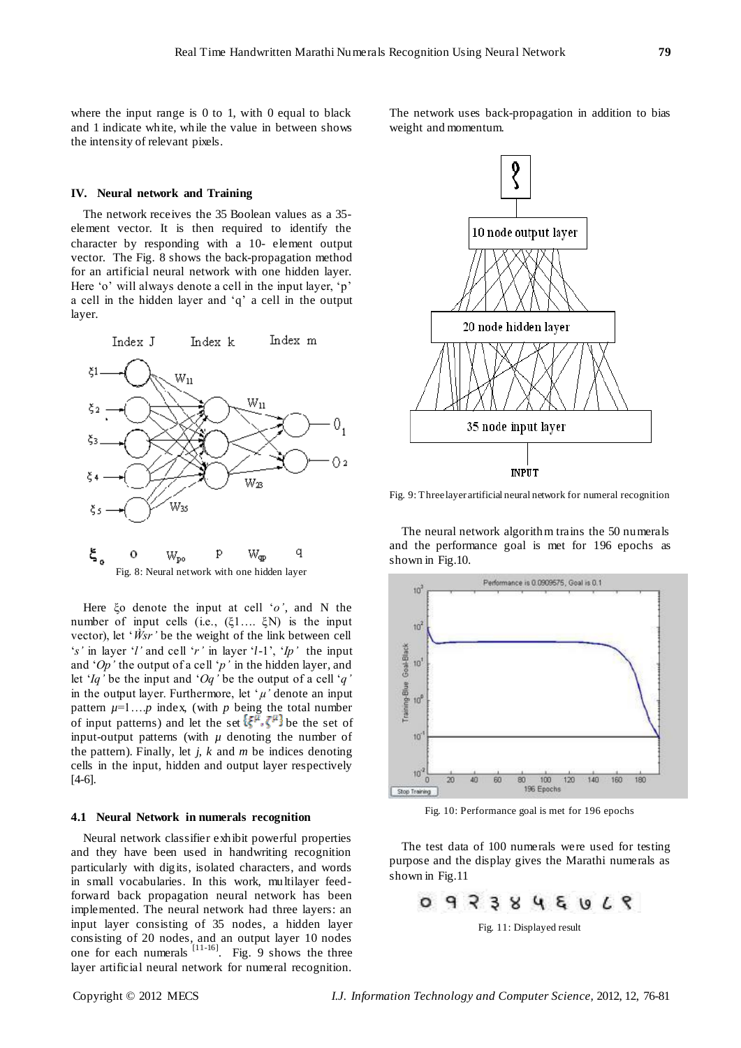where the input range is  $0$  to 1, with  $0$  equal to black and 1 indicate white, while the value in between shows the intensity of relevant pixels.

#### **IV. Neural network and Training**

The network receives the 35 Boolean values as a 35 element vector. It is then required to identify the character by responding with a 10- element output vector. The Fig. 8 shows the back-propagation method for an artificial neural network with one hidden layer. Here 'o' will always denote a cell in the input layer, 'p' a cell in the hidden layer and "q" a cell in the output layer.



Here ξo denote the input at cell "*o'*, and N the number of input cells (i.e., (ξ1…. ξN) is the input vector), let 'W<sup>sr</sup>' be the weight of the link between cell "*s'* in layer "*l'* and cell "*r'* in layer "*l*-1", "*Ip'* the input and "*Op'* the output of a cell "*p'* in the hidden layer, and let "*Iq'* be the input and "*Oq'* be the output of a cell "*q'* in the output layer. Furthermore, let ' $\mu$ ' denote an input pattern  $\mu=1...p$  index, (with p being the total number of input patterns) and let the set  $\{\xi^{\mu}, \zeta^{\mu}\}$  be the set of input-output patterns (with  $\mu$  denoting the number of the pattern). Finally, let *j*, *k* and *m* be indices denoting cells in the input, hidden and output layer respectively [4-6].

#### **4.1 Neural Network in numerals recognition**

Neural network classifier exhibit powerful properties and they have been used in handwriting recognition particularly with digits, isolated characters, and words in small vocabularies. In this work, multilayer feedforward back propagation neural network has been implemented. The neural network had three layers: an input layer consisting of 35 nodes, a hidden layer consisting of 20 nodes, and an output layer 10 nodes one for each numerals  $\left[11\right]$ <sup>11-16]</sup>. Fig. 9 shows the three layer artificial neural network for numeral recognition.

The network uses back-propagation in addition to bias weight and momentum.



Fig. 9: Three layer artificial neural network for numeral recognition

The neural network algorithm trains the 50 numerals and the performance goal is met for 196 epochs as shown in Fig.10.



Fig. 10: Performance goal is met for 196 epochs

The test data of 100 numerals were used for testing purpose and the display gives the Marathi numerals as shown in Fig.11



Fig. 11: Displayed result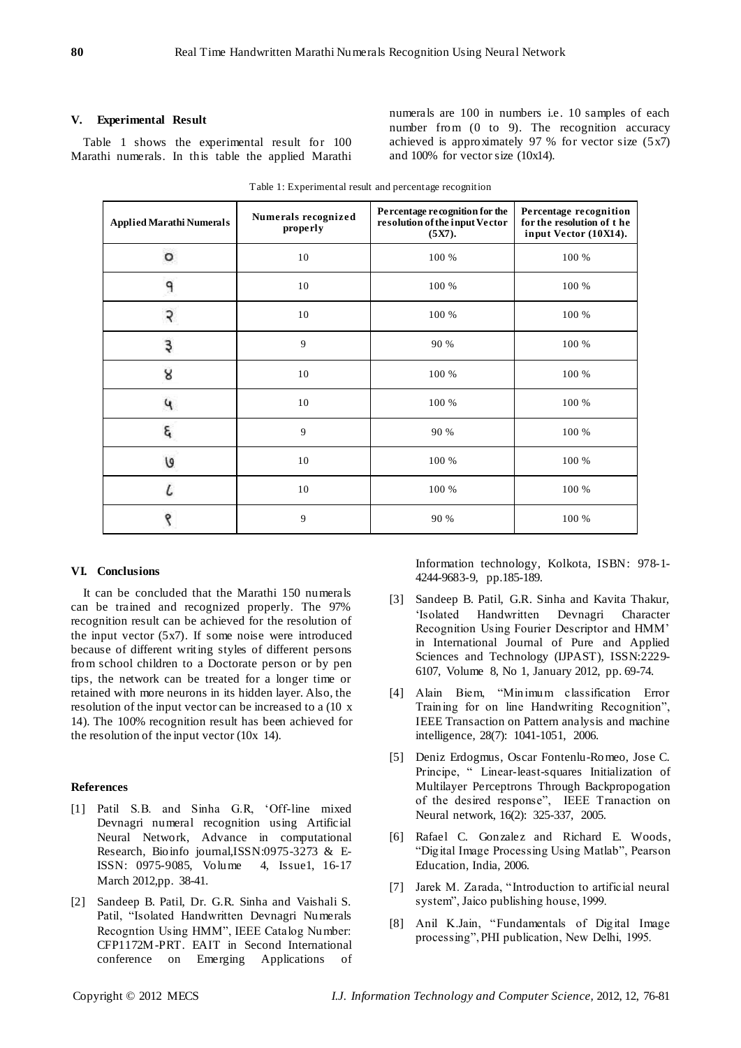# **V. Experimental Result**

Table 1 shows the experimental result for 100 Marathi numerals. In this table the applied Marathi numerals are 100 in numbers i.e. 10 samples of each number from (0 to 9). The recognition accuracy achieved is approximately 97 % for vector size  $(5x7)$ and 100% for vector size (10x14).

| <b>Applied Marathi Numerals</b> | Numerals recognized<br>properly | Percentage recognition for the<br>resolution of the input Vector<br>(5X7). | Percentage recognition<br>for the resolution of the<br>input Vector (10X14). |
|---------------------------------|---------------------------------|----------------------------------------------------------------------------|------------------------------------------------------------------------------|
| o                               | 10                              | 100 %                                                                      | 100 %                                                                        |
| 9                               | 10                              | 100 %                                                                      | 100 %                                                                        |
| २                               | 10                              | 100 %                                                                      | 100 %                                                                        |
| Ę                               | 9                               | 90 %                                                                       | 100 %                                                                        |
| 8                               | 10                              | 100 %                                                                      | 100 %                                                                        |
| u                               | 10                              | 100 %                                                                      | 100 %                                                                        |
| ٤                               | 9                               | 90 %                                                                       | 100 %                                                                        |
| U                               | 10                              | 100 %                                                                      | 100 %                                                                        |
|                                 | 10                              | 100 %                                                                      | 100 %                                                                        |
| ९                               | 9                               | 90 %                                                                       | 100 %                                                                        |

Table 1: Experimental result and percentage recognition

# **VI. Conclusions**

It can be concluded that the Marathi 150 numerals can be trained and recognized properly. The 97% recognition result can be achieved for the resolution of the input vector (5x7). If some noise were introduced because of different writing styles of different persons from school children to a Doctorate person or by pen tips, the network can be treated for a longer time or retained with more neurons in its hidden layer. Also, the resolution of the input vector can be increased to a (10 x 14). The 100% recognition result has been achieved for the resolution of the input vector (10x 14).

### **References**

- [1] Patil S.B. and Sinha G.R, "Off-line mixed Devnagri numeral recognition using Artificial Neural Network, Advance in computational Research, Bioinfo journal,ISSN:0975-3273 & E-ISSN: 0975-9085, Volume 4, Issue1, 16-17 March 2012,pp. 38-41.
- [2] Sandeep B. Patil, Dr. G.R. Sinha and Vaishali S. Patil, "Isolated Handwritten Devnagri Numerals Recogntion Using HMM", IEEE Catalog Number: CFP1172M-PRT. EAIT in Second International conference on Emerging Applications of

Information technology, Kolkota, ISBN: 978-1- 4244-9683-9, pp.185-189.

- [3] Sandeep B. Patil, G.R. Sinha and Kavita Thakur, "Isolated Handwritten Devnagri Character Recognition Using Fourier Descriptor and HMM" in International Journal of Pure and Applied Sciences and Technology (IJPAST), ISSN:2229- 6107, Volume 8, No 1, January 2012, pp. 69-74.
- [4] Alain Biem, "Minimum classification Error Training for on line Handwriting Recognition", IEEE Transaction on Pattern analysis and machine intelligence, 28(7): 1041-1051, 2006.
- [5] Deniz Erdogmus, Oscar Fontenlu-Romeo, Jose C. Principe, " Linear-least-squares Initialization of Multilayer Perceptrons Through Backpropogation of the desired response", IEEE Tranaction on Neural network, 16(2): 325-337, 2005.
- [6] Rafael C. Gonzalez and Richard E. Woods, "Digital Image Processing Using Matlab", Pearson Education, India, 2006.
- [7] Jarek M. Zarada, "Introduction to artificial neural system", Jaico publishing house, 1999.
- [8] Anil K.Jain, "Fundamentals of Digital Image processing", PHI publication, New Delhi, 1995.